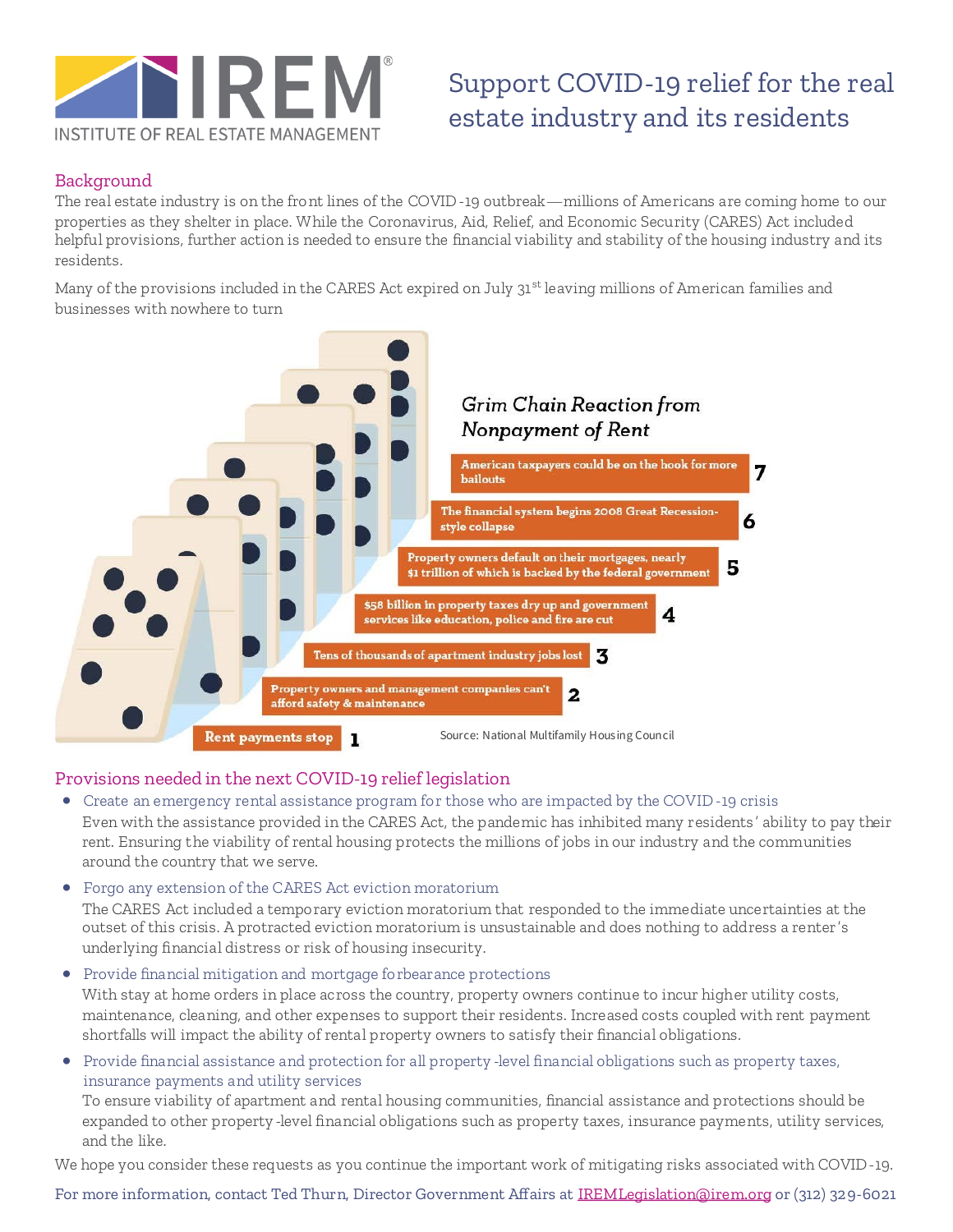

## Support COVID-19 relief for the real estate industry and its residents

### Background

The real estate industry is on the front lines of the COVID-19 outbreak—millions of Americans are coming home to our properties as they shelter in place. While the Coronavirus, Aid, Relief, and Economic Security (CARES) Act included helpful provisions, further action is needed to ensure the financial viability and stability of the housing industry and its residents.

Many of the provisions included in the CARES Act expired on July 31<sup>st</sup> leaving millions of American families and businesses with nowhere to turn



#### Provisions needed in the next COVID-19 relief legislation

- Create an emergency rental assistance program for those who are impacted by the COVID-19 crisis Even with the assistance provided in the CARES Act, the pandemic has inhibited many residents ' ability to pay their rent. Ensuring the viability of rental housing protects the millions of jobs in our industry and the communities around the country that we serve.
- Forgo any extension of the CARES Act eviction moratorium

The CARES Act included a temporary eviction moratorium that responded to the immediate uncertainties at the outset of this crisis. A protracted eviction moratorium is unsustainable and does nothing to address a renter's underlying financial distress or risk of housing insecurity.

- Provide financial mitigation and mortgage forbearance protections With stay at home orders in place across the country, property owners continue to incur higher utility costs, maintenance, cleaning, and other expenses to support their residents. Increased costs coupled with rent payment shortfalls will impact the ability of rental property owners to satisfy their financial obligations.
- Provide financial assistance and protection for all property -level financial obligations such as property taxes, insurance payments and utility services

To ensure viability of apartment and rental housing communities, financial assistance and protections should be expanded to other property -level financial obligations such as property taxes, insurance payments, utility services, and the like.

We hope you consider these requests as you continue the important work of mitigating risks associated with COVID-19.

For more information, contact Ted Thurn, Director Government Affairs at [IREMLegislation@irem.org](mailto:iremlegislation@irem.org) or (312) 329-6021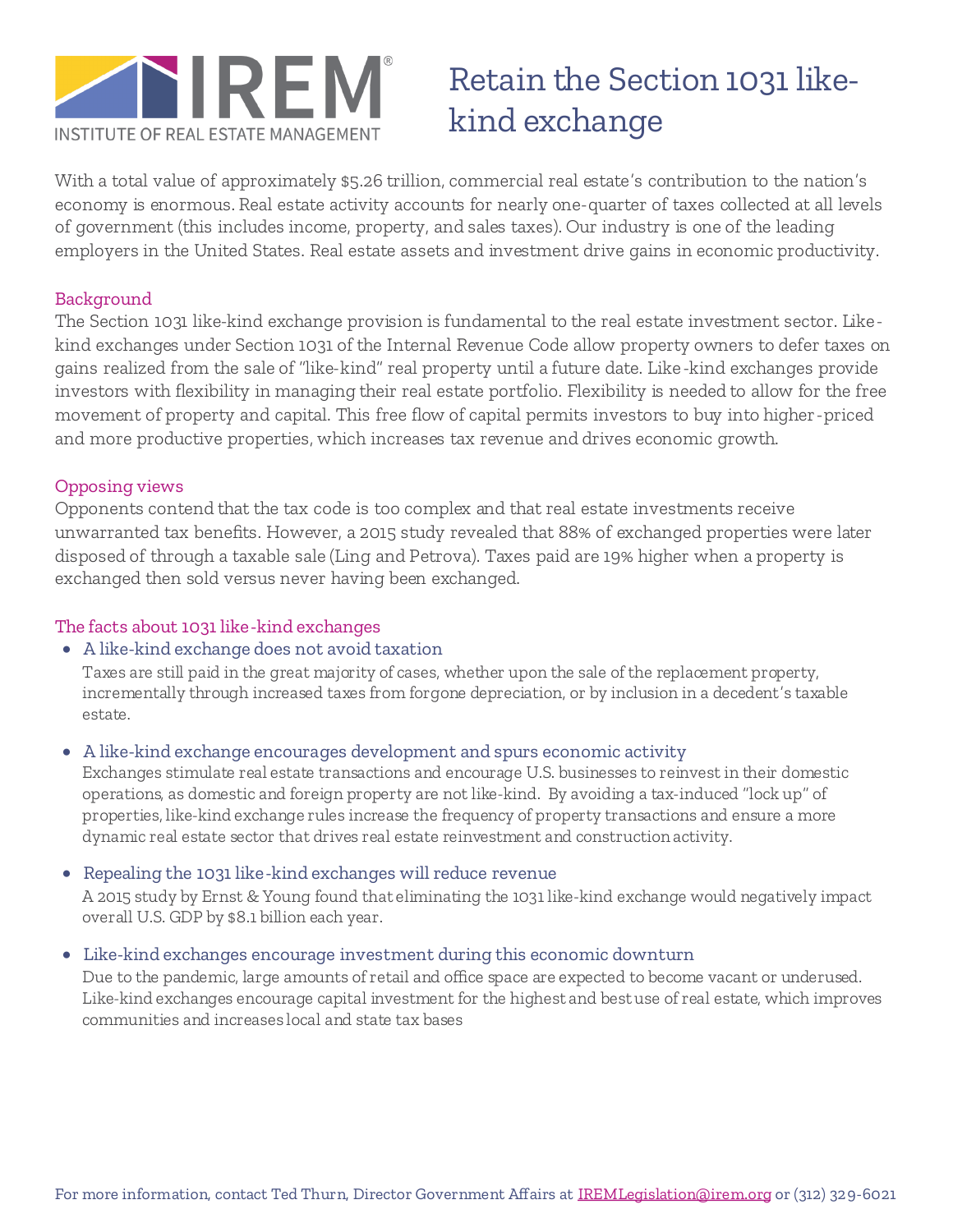

# Retain the Section 1031 likekind exchange

With a total value of approximately \$5.26 trillion, commercial real estate's contribution to the nation's economy is enormous. Real estate activity accounts for nearly one-quarter of taxes collected at all levels of government (this includes income, property, and sales taxes). Our industry is one of the leading employers in the United States. Real estate assets and investment drive gains in economic productivity.

#### Background

The Section 1031 like-kind exchange provision is fundamental to the real estate investment sector. Likekind exchanges under Section 1031 of the Internal Revenue Code allow property owners to defer taxes on gains realized from the sale of "like-kind" real property until a future date. Like-kind exchanges provide investors with flexibility in managing their real estate portfolio. Flexibility is needed to allow for the free movement of property and capital. This free flow of capital permits investors to buy into higher-priced and more productive properties, which increases tax revenue and drives economic growth.

### Opposing views

Opponents contend that the tax code is too complex and that real estate investments receive unwarranted tax benefits. However, a 2015 study revealed that 88% of exchanged properties were later disposed of through a taxable sale (Ling and Petrova). Taxes paid are 19% higher when a property is exchanged then sold versus never having been exchanged.

#### The facts about 1031 like-kind exchanges

• A like-kind exchange does not avoid taxation

Taxes are still paid in the great majority of cases, whether upon the sale of the replacement property, incrementally through increased taxes from forgone depreciation, or by inclusion in a decedent's taxable estate.

• A like-kind exchange encourages development and spurs economic activity

Exchanges stimulate real estate transactions and encourage U.S. businesses to reinvest in their domestic operations, as domestic and foreign property are not like-kind. By avoiding a tax-induced "lock up" of properties, like-kind exchange rules increase the frequency of property transactions and ensure a more dynamic real estate sector that drives real estate reinvestment and construction activity.

#### • Repealing the 1031 like-kind exchanges will reduce revenue

A 2015 study by Ernst & Young found that eliminating the 1031 like-kind exchange would negatively impact overall U.S. GDP by \$8.1 billion each year.

#### • Like-kind exchanges encourage investment during this economic downturn

Due to the pandemic, large amounts of retail and office space are expected to become vacant or underused. Like-kind exchanges encourage capital investment for the highest and best use of real estate, which improves communities and increases local and state tax bases